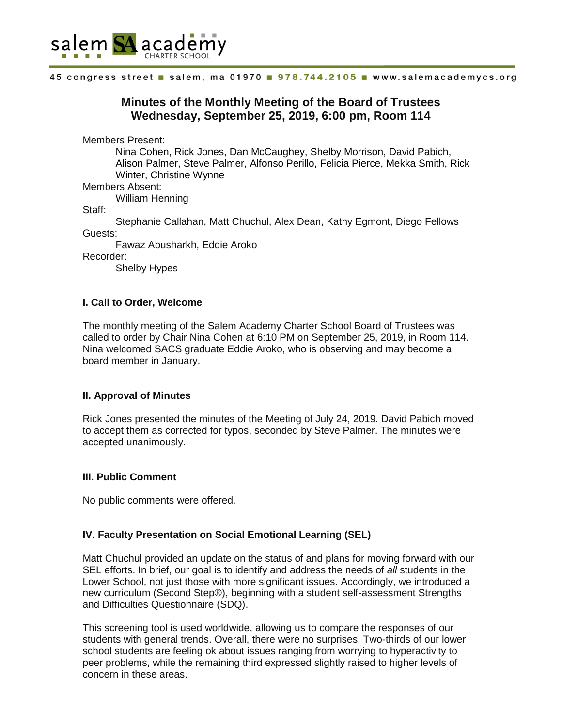

# **Minutes of the Monthly Meeting of the Board of Trustees Wednesday, September 25, 2019, 6:00 pm, Room 114**

Members Present:

Nina Cohen, Rick Jones, Dan McCaughey, Shelby Morrison, David Pabich, Alison Palmer, Steve Palmer, Alfonso Perillo, Felicia Pierce, Mekka Smith, Rick Winter, Christine Wynne

## Members Absent:

William Henning

Staff:

Stephanie Callahan, Matt Chuchul, Alex Dean, Kathy Egmont, Diego Fellows Guests:

Fawaz Abusharkh, Eddie Aroko

Recorder:

Shelby Hypes

### **I. Call to Order, Welcome**

The monthly meeting of the Salem Academy Charter School Board of Trustees was called to order by Chair Nina Cohen at 6:10 PM on September 25, 2019, in Room 114. Nina welcomed SACS graduate Eddie Aroko, who is observing and may become a board member in January.

### **II. Approval of Minutes**

Rick Jones presented the minutes of the Meeting of July 24, 2019. David Pabich moved to accept them as corrected for typos, seconded by Steve Palmer. The minutes were accepted unanimously.

### **III. Public Comment**

No public comments were offered.

### **IV. Faculty Presentation on Social Emotional Learning (SEL)**

Matt Chuchul provided an update on the status of and plans for moving forward with our SEL efforts. In brief, our goal is to identify and address the needs of *all* students in the Lower School, not just those with more significant issues. Accordingly, we introduced a new curriculum (Second Step®), beginning with a student self-assessment Strengths and Difficulties Questionnaire (SDQ).

This screening tool is used worldwide, allowing us to compare the responses of our students with general trends. Overall, there were no surprises. Two-thirds of our lower school students are feeling ok about issues ranging from worrying to hyperactivity to peer problems, while the remaining third expressed slightly raised to higher levels of concern in these areas.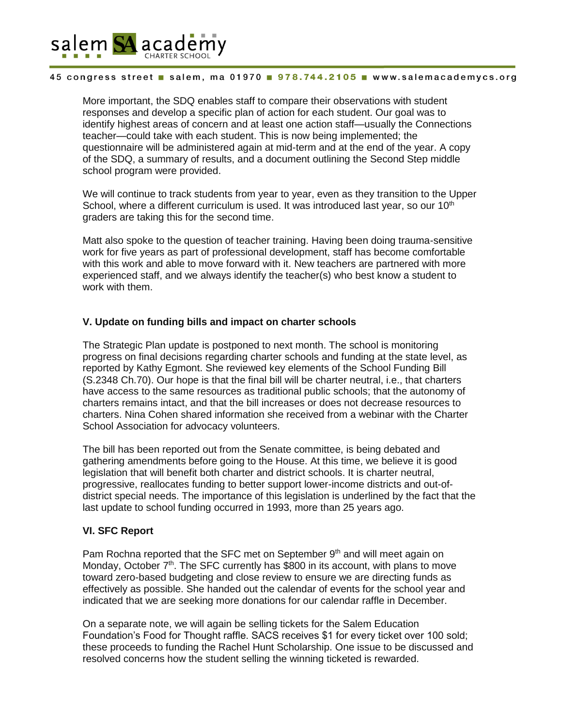

More important, the SDQ enables staff to compare their observations with student responses and develop a specific plan of action for each student. Our goal was to identify highest areas of concern and at least one action staff—usually the Connections teacher—could take with each student. This is now being implemented; the questionnaire will be administered again at mid-term and at the end of the year. A copy of the SDQ, a summary of results, and a document outlining the Second Step middle school program were provided.

We will continue to track students from year to year, even as they transition to the Upper School, where a different curriculum is used. It was introduced last year, so our  $10<sup>th</sup>$ graders are taking this for the second time.

Matt also spoke to the question of teacher training. Having been doing trauma-sensitive work for five years as part of professional development, staff has become comfortable with this work and able to move forward with it. New teachers are partnered with more experienced staff, and we always identify the teacher(s) who best know a student to work with them.

### **V. Update on funding bills and impact on charter schools**

The Strategic Plan update is postponed to next month. The school is monitoring progress on final decisions regarding charter schools and funding at the state level, as reported by Kathy Egmont. She reviewed key elements of the School Funding Bill (S.2348 Ch.70). Our hope is that the final bill will be charter neutral, i.e., that charters have access to the same resources as traditional public schools; that the autonomy of charters remains intact, and that the bill increases or does not decrease resources to charters. Nina Cohen shared information she received from a webinar with the Charter School Association for advocacy volunteers.

The bill has been reported out from the Senate committee, is being debated and gathering amendments before going to the House. At this time, we believe it is good legislation that will benefit both charter and district schools. It is charter neutral, progressive, reallocates funding to better support lower-income districts and out-ofdistrict special needs. The importance of this legislation is underlined by the fact that the last update to school funding occurred in 1993, more than 25 years ago.

#### **VI. SFC Report**

Pam Rochna reported that the SFC met on September  $9<sup>th</sup>$  and will meet again on Monday, October 7<sup>th</sup>. The SFC currently has \$800 in its account, with plans to move toward zero-based budgeting and close review to ensure we are directing funds as effectively as possible. She handed out the calendar of events for the school year and indicated that we are seeking more donations for our calendar raffle in December.

On a separate note, we will again be selling tickets for the Salem Education Foundation's Food for Thought raffle. SACS receives \$1 for every ticket over 100 sold; these proceeds to funding the Rachel Hunt Scholarship. One issue to be discussed and resolved concerns how the student selling the winning ticketed is rewarded.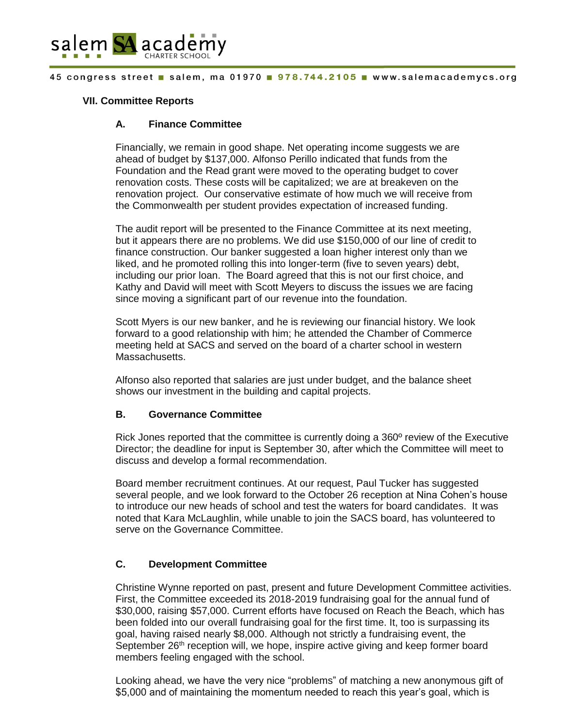

### **VII. Committee Reports**

### **A. Finance Committee**

Financially, we remain in good shape. Net operating income suggests we are ahead of budget by \$137,000. Alfonso Perillo indicated that funds from the Foundation and the Read grant were moved to the operating budget to cover renovation costs. These costs will be capitalized; we are at breakeven on the renovation project. Our conservative estimate of how much we will receive from the Commonwealth per student provides expectation of increased funding.

The audit report will be presented to the Finance Committee at its next meeting, but it appears there are no problems. We did use \$150,000 of our line of credit to finance construction. Our banker suggested a loan higher interest only than we liked, and he promoted rolling this into longer-term (five to seven years) debt, including our prior loan. The Board agreed that this is not our first choice, and Kathy and David will meet with Scott Meyers to discuss the issues we are facing since moving a significant part of our revenue into the foundation.

Scott Myers is our new banker, and he is reviewing our financial history. We look forward to a good relationship with him; he attended the Chamber of Commerce meeting held at SACS and served on the board of a charter school in western Massachusetts.

Alfonso also reported that salaries are just under budget, and the balance sheet shows our investment in the building and capital projects.

### **B. Governance Committee**

Rick Jones reported that the committee is currently doing a 360º review of the Executive Director; the deadline for input is September 30, after which the Committee will meet to discuss and develop a formal recommendation.

Board member recruitment continues. At our request, Paul Tucker has suggested several people, and we look forward to the October 26 reception at Nina Cohen's house to introduce our new heads of school and test the waters for board candidates. It was noted that Kara McLaughlin, while unable to join the SACS board, has volunteered to serve on the Governance Committee.

# **C. Development Committee**

Christine Wynne reported on past, present and future Development Committee activities. First, the Committee exceeded its 2018-2019 fundraising goal for the annual fund of \$30,000, raising \$57,000. Current efforts have focused on Reach the Beach, which has been folded into our overall fundraising goal for the first time. It, too is surpassing its goal, having raised nearly \$8,000. Although not strictly a fundraising event, the September  $26<sup>th</sup>$  reception will, we hope, inspire active giving and keep former board members feeling engaged with the school.

Looking ahead, we have the very nice "problems" of matching a new anonymous gift of \$5,000 and of maintaining the momentum needed to reach this year's goal, which is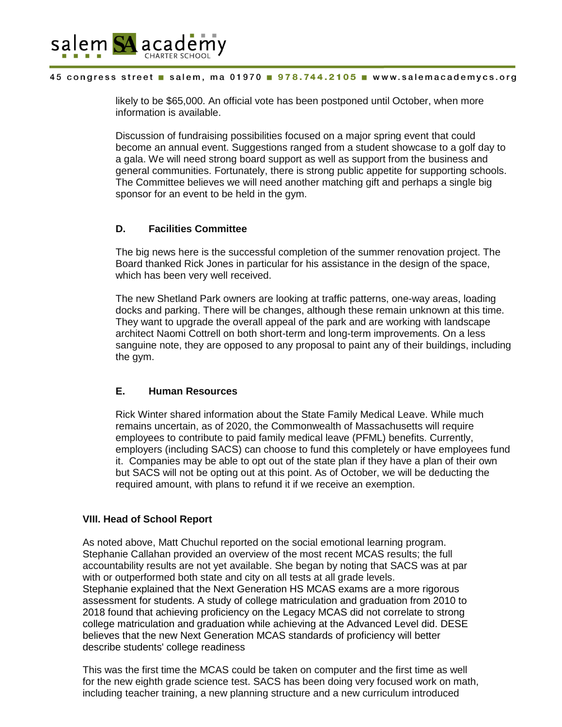

likely to be \$65,000. An official vote has been postponed until October, when more information is available.

Discussion of fundraising possibilities focused on a major spring event that could become an annual event. Suggestions ranged from a student showcase to a golf day to a gala. We will need strong board support as well as support from the business and general communities. Fortunately, there is strong public appetite for supporting schools. The Committee believes we will need another matching gift and perhaps a single big sponsor for an event to be held in the gym.

# **D. Facilities Committee**

The big news here is the successful completion of the summer renovation project. The Board thanked Rick Jones in particular for his assistance in the design of the space, which has been very well received.

The new Shetland Park owners are looking at traffic patterns, one-way areas, loading docks and parking. There will be changes, although these remain unknown at this time. They want to upgrade the overall appeal of the park and are working with landscape architect Naomi Cottrell on both short-term and long-term improvements. On a less sanguine note, they are opposed to any proposal to paint any of their buildings, including the gym.

# **E. Human Resources**

Rick Winter shared information about the State Family Medical Leave. While much remains uncertain, as of 2020, the Commonwealth of Massachusetts will require employees to contribute to paid family medical leave (PFML) benefits. Currently, employers (including SACS) can choose to fund this completely or have employees fund it. Companies may be able to opt out of the state plan if they have a plan of their own but SACS will not be opting out at this point. As of October, we will be deducting the required amount, with plans to refund it if we receive an exemption.

# **VIII. Head of School Report**

As noted above, Matt Chuchul reported on the social emotional learning program. Stephanie Callahan provided an overview of the most recent MCAS results; the full accountability results are not yet available. She began by noting that SACS was at par with or outperformed both state and city on all tests at all grade levels. Stephanie explained that the Next Generation HS MCAS exams are a more rigorous assessment for students. A study of college matriculation and graduation from 2010 to 2018 found that achieving proficiency on the Legacy MCAS did not correlate to strong college matriculation and graduation while achieving at the Advanced Level did. DESE believes that the new Next Generation MCAS standards of proficiency will better describe students' college readiness

This was the first time the MCAS could be taken on computer and the first time as well for the new eighth grade science test. SACS has been doing very focused work on math, including teacher training, a new planning structure and a new curriculum introduced